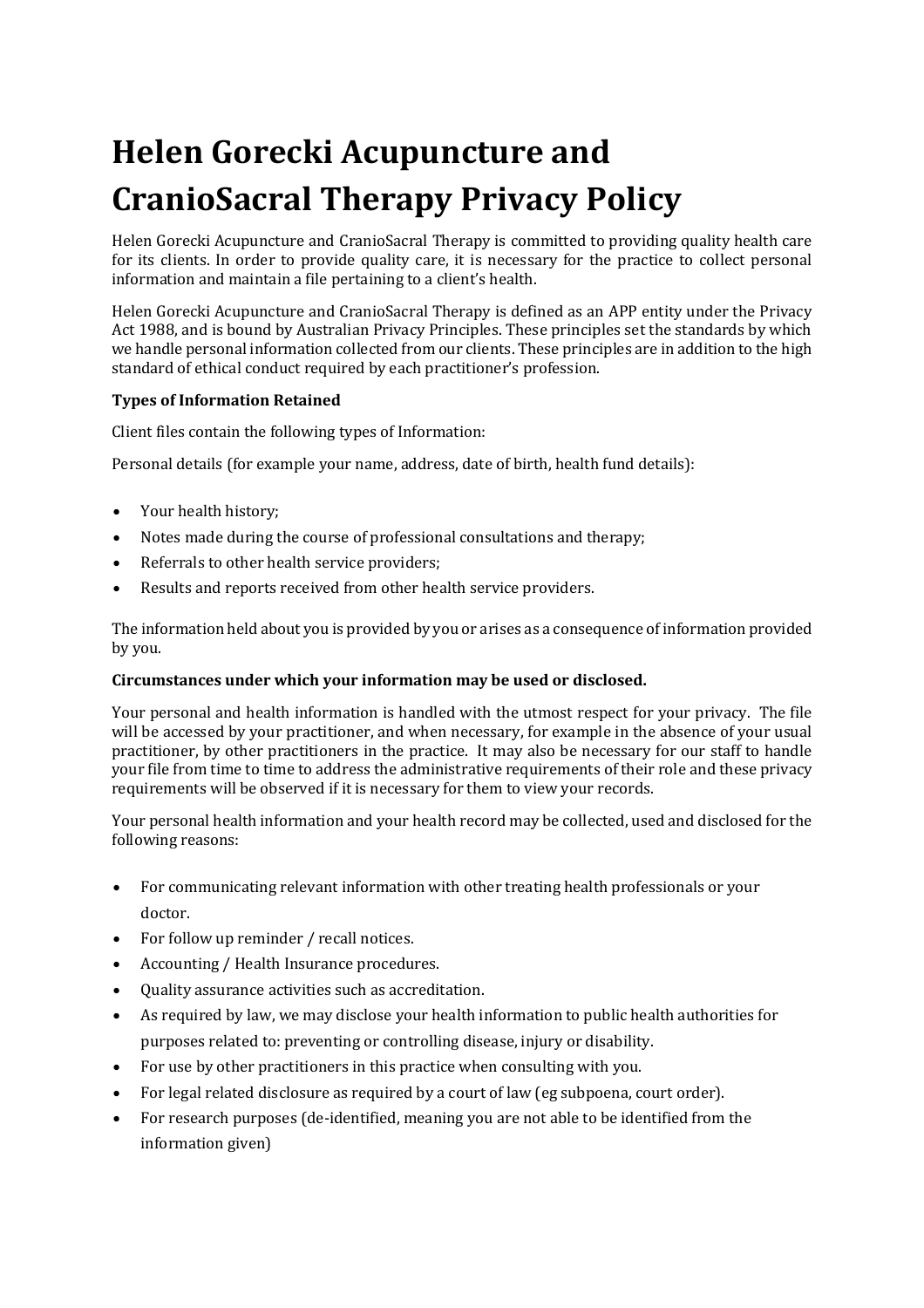# **Helen Gorecki Acupuncture and CranioSacral Therapy Privacy Policy**

Helen Gorecki Acupuncture and CranioSacral Therapy is committed to providing quality health care for its clients. In order to provide quality care, it is necessary for the practice to collect personal information and maintain a file pertaining to a client's health.

Helen Gorecki Acupuncture and CranioSacral Therapy is defined as an APP entity under the Privacy Act 1988, and is bound by Australian Privacy Principles. These principles set the standards by which we handle personal information collected from our clients. These principles are in addition to the high standard of ethical conduct required by each practitioner's profession.

### **Types of Information Retained**

Client files contain the following types of Information:

Personal details (for example your name, address, date of birth, health fund details):

- Your health history;
- Notes made during the course of professional consultations and therapy;
- Referrals to other health service providers;
- Results and reports received from other health service providers.

The information held about you is provided by you or arises as a consequence of information provided by you.

#### **Circumstances under which your information may be used or disclosed.**

Your personal and health information is handled with the utmost respect for your privacy. The file will be accessed by your practitioner, and when necessary, for example in the absence of your usual practitioner, by other practitioners in the practice. It may also be necessary for our staff to handle your file from time to time to address the administrative requirements of their role and these privacy requirements will be observed if it is necessary for them to view your records.

Your personal health information and your health record may be collected, used and disclosed for the following reasons:

- For communicating relevant information with other treating health professionals or your doctor.
- For follow up reminder / recall notices.
- Accounting / Health Insurance procedures.
- Quality assurance activities such as accreditation.
- As required by law, we may disclose your health information to public health authorities for purposes related to: preventing or controlling disease, injury or disability.
- For use by other practitioners in this practice when consulting with you.
- For legal related disclosure as required by a court of law (eg subpoena, court order).
- For research purposes (de-identified, meaning you are not able to be identified from the information given)